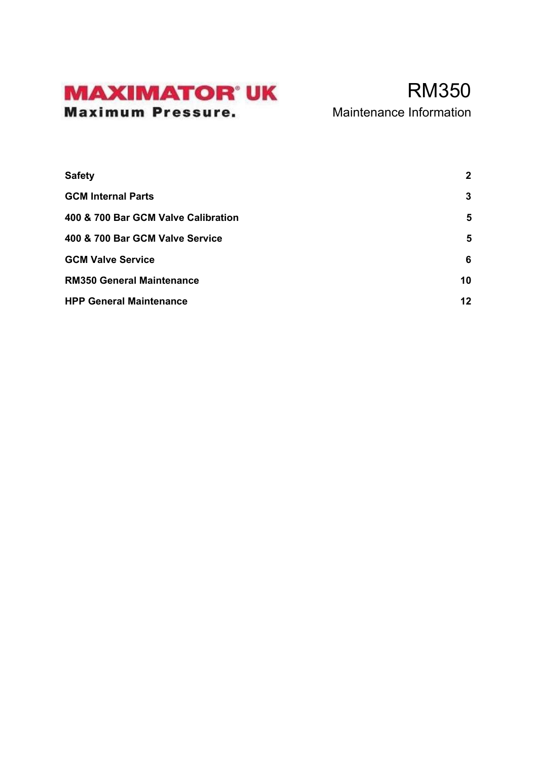### **MAXIMATOR' UK Maximum Pressure.**

### RM350 Maintenance Information

**[Safety](#page-1-0) [2](#page-1-0) [GCM Internal Parts](#page-2-0) [3](#page-2-0) [400 & 700 Bar GCM Valve](#page-4-0) Calibration [5](#page-4-0) [400 & 700 Bar GCM Valve](#page-4-1) Service [5](#page-4-1) [GCM Valve Service](#page-5-0) [6](#page-5-0) [RM350 General Maintenance](#page-9-0) [10](#page-9-0) [HPP General Maintenance](#page-11-0) [12](#page-11-0)**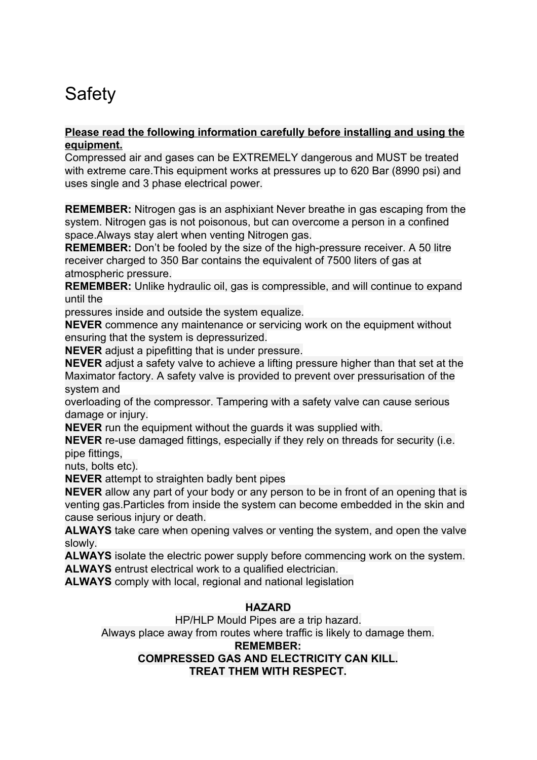# <span id="page-1-0"></span>**Safety**

### **Please read the following information carefully before installing and using the equipment.**

Compressed air and gases can be EXTREMELY dangerous and MUST be treated with extreme care.This equipment works at pressures up to 620 Bar (8990 psi) and uses single and 3 phase electrical power.

**REMEMBER:** Nitrogen gas is an asphixiant Never breathe in gas escaping from the system. Nitrogen gas is not poisonous, but can overcome a person in a confined space.Always stay alert when venting Nitrogen gas.

**REMEMBER:** Don't be fooled by the size of the high-pressure receiver. A 50 litre receiver charged to 350 Bar contains the equivalent of 7500 liters of gas at atmospheric pressure.

**REMEMBER:** Unlike hydraulic oil, gas is compressible, and will continue to expand until the

pressures inside and outside the system equalize.

**NEVER** commence any maintenance or servicing work on the equipment without ensuring that the system is depressurized.

**NEVER** adjust a pipefitting that is under pressure.

**NEVER** adjust a safety valve to achieve a lifting pressure higher than that set at the Maximator factory. A safety valve is provided to prevent over pressurisation of the system and

overloading of the compressor. Tampering with a safety valve can cause serious damage or injury.

**NEVER** run the equipment without the guards it was supplied with.

**NEVER** re-use damaged fittings, especially if they rely on threads for security (i.e. pipe fittings,

nuts, bolts etc).

**NEVER** attempt to straighten badly bent pipes

**NEVER** allow any part of your body or any person to be in front of an opening that is venting gas.Particles from inside the system can become embedded in the skin and cause serious injury or death.

**ALWAYS** take care when opening valves or venting the system, and open the valve slowly.

**ALWAYS** isolate the electric power supply before commencing work on the system. **ALWAYS** entrust electrical work to a qualified electrician.

**ALWAYS** comply with local, regional and national legislation

### **HAZARD**

HP/HLP Mould Pipes are a trip hazard.

Always place away from routes where traffic is likely to damage them.

#### **REMEMBER:**

### **COMPRESSED GAS AND ELECTRICITY CAN KILL.**

**TREAT THEM WITH RESPECT.**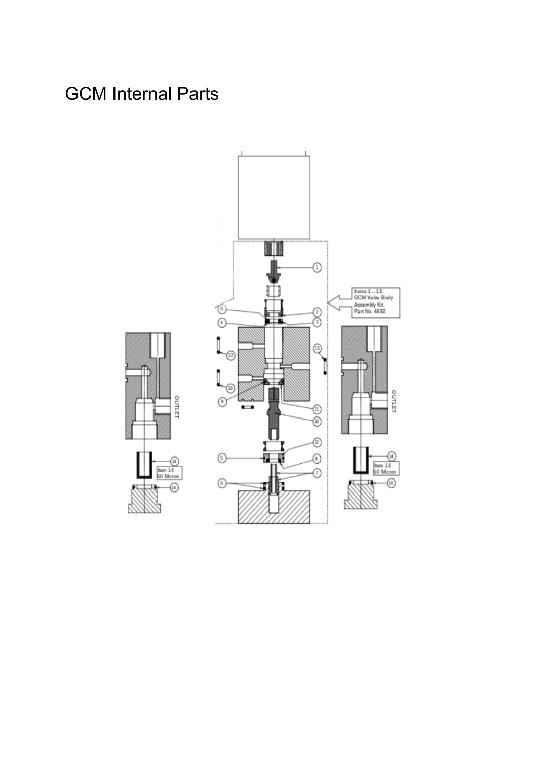# <span id="page-2-0"></span>GCM Internal Parts



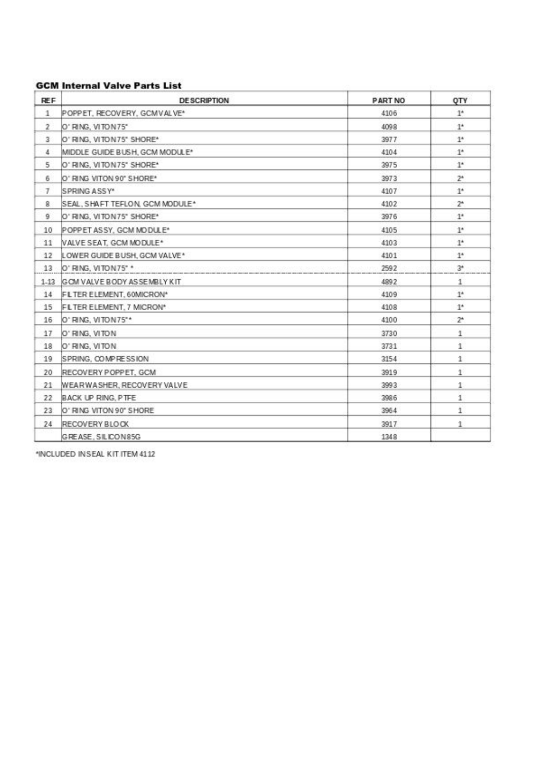### **GCM Internal Valve Parts List**

| <b>REF</b>            | <b>DESCRIPTION</b>                       | <b>PART NO</b> | QTY            |
|-----------------------|------------------------------------------|----------------|----------------|
| $\mathbf{1}$          | POPPET, RECOVERY, GCMVALVE*              | 4106           | $1^*$          |
| $\mathbf{2}$          | O' RING, VITON 75"                       | 4098           | $1^*$          |
| $\mathbf{3}^{\prime}$ | O' RING, VITON 75" SHORE*                | 3977           | $1^*$          |
| 4.                    | MIDDLE GUIDE BUSH, GCM MODULE*           | 4104           | $1^*$          |
| 5                     | O' RING, VITON 75" SHORE*                | 3975           | $1^*$          |
| 6                     | O'RING VITON 90" SHORE*                  | 3973           | $2*$           |
| $\tau$                | ISPRING ASSY*                            | 4107           | 1 <sup>6</sup> |
| 8                     | SEAL, SHAFT TEFLON, GCM MODULE*          | 4102           | $2^*$          |
| 9                     | O'RING, VITON 75" SHORE"                 | 3976           | $1^*$          |
| 10                    | POPPET ASSY, GCM MODULE*                 | 4105           | $1^*$          |
| 11                    | VALVE SEAT. GCM MODULE*                  | 4103           | $1^*$          |
| $12^{\circ}$          | LOWER GUIDE BUSH, GCM VALVE*             | 4101           | $1^*$          |
|                       | 13 O' RING, VITON 75" *                  | 2592           | $3*$           |
|                       | 1-13 IGOM VALVE BODY ASSEMBLY KIT        | 4892           | $\mathbf{1}$   |
| 14                    | FLTER ELEMENT, 60MICRON*                 | 4109           | $1^*$          |
| 15                    | FLTER ELEMENT, 7 MICRON*                 | 4108           | 1 <sup>6</sup> |
| 16                    | O' RING, VITON 75"*                      | 4100           | $2^*$          |
| 17                    | O' RING, VITON                           | 3730           | $\,$ 1 $\,$    |
| 18                    | O' RING, VITON                           | 3731           | 1              |
| 19                    | SPRING, COMPRESSION                      | 3154           | 1              |
| 20                    | RECOVERY POPPET, GCM                     | 3919           | 1              |
| 21                    | <b><i>MEARWASHER, RECOVERY VALVE</i></b> | 3993           | $1^{\circ}$    |
| 22                    | BACK UP RING, PTFE                       | 3986           | 1              |
| 23                    | O' RING VITON 90" SHORE                  | 3964           | 1              |
| 24                    | RECOVERY BLOCK                           | 3917           | 1              |
|                       | GREASE, SILICON 85G                      | 1348           |                |

\*INCLUDED IN SEAL KIT ITEM 4112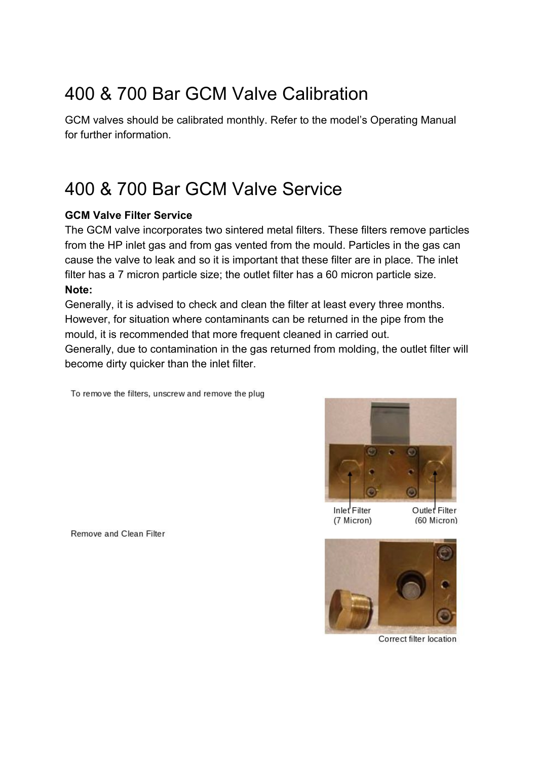## <span id="page-4-0"></span>400 & 700 Bar GCM Valve Calibration

GCM valves should be calibrated monthly. Refer to the model's Operating Manual for further information.

## <span id="page-4-1"></span>400 & 700 Bar GCM Valve Service

### **GCM Valve Filter Service**

The GCM valve incorporates two sintered metal filters. These filters remove particles from the HP inlet gas and from gas vented from the mould. Particles in the gas can cause the valve to leak and so it is important that these filter are in place. The inlet filter has a 7 micron particle size; the outlet filter has a 60 micron particle size. **Note:**

Generally, it is advised to check and clean the filter at least every three months. However, for situation where contaminants can be returned in the pipe from the mould, it is recommended that more frequent cleaned in carried out.

Generally, due to contamination in the gas returned from molding, the outlet filter will become dirty quicker than the inlet filter.

To remove the filters, unscrew and remove the plug



Inlet Filter (7 Micron) Outlet Filter (60 Micron)



Correct filter location

Remove and Clean Filter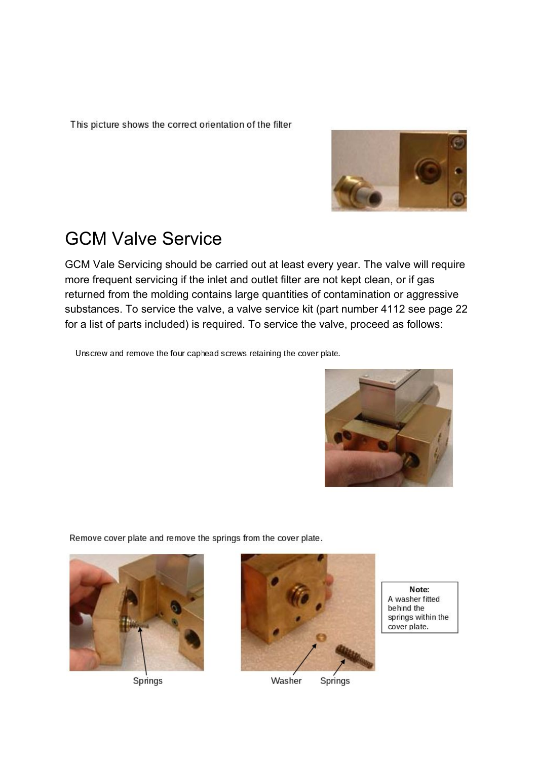<span id="page-5-0"></span>This picture shows the correct orientation of the filter



## GCM Valve Service

GCM Vale Servicing should be carried out at least every year. The valve will require more frequent servicing if the inlet and outlet filter are not kept clean, or if gas returned from the molding contains large quantities of contamination or aggressive substances. To service the valve, a valve service kit (part number 4112 see page 22 for a list of parts included) is required. To service the valve, proceed as follows:

Unscrew and remove the four caphead screws retaining the cover plate.



Remove cover plate and remove the springs from the cover plate.



Springs



Washer Springs

Note: A washer fitted behind the springs within the cover plate.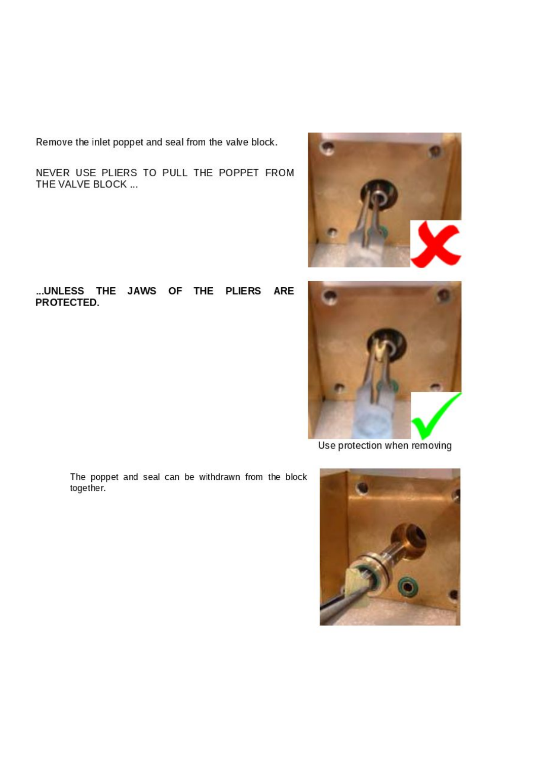Remove the inlet poppet and seal from the valve block.

NEVER USE PLIERS TO PULL THE POPPET FROM THE VALVE BLOCK ...

#### ... UNLESS THE JAWS OF THE PLIERS ARE PROTECTED.





Use protection when removing

The poppet and seal can be withdrawn from the block together.

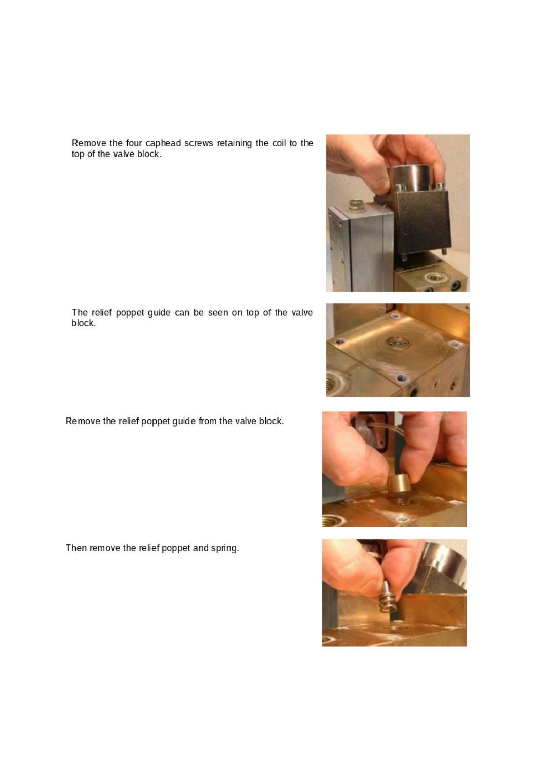Remove the four caphead screws retaining the coil to the top of the valve block.







The relief poppet guide can be seen on top of the valve block.

Remove the relief poppet guide from the valve block.

Then remove the relief poppet and spring.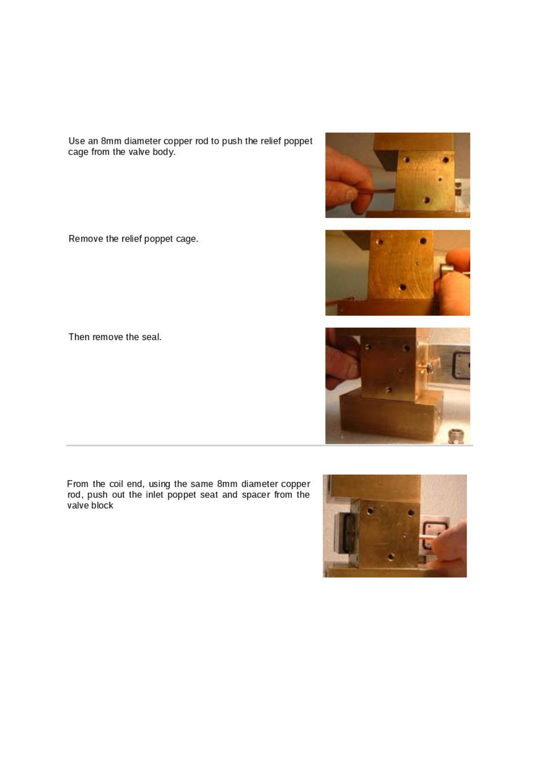Use an 8mm diameter copper rod to push the relief poppet<br>cage from the valve body.

Remove the relief poppet cage.





Then remove the seal.

From the coil end, using the same 8mm diameter copper<br>rod, push out the inlet poppet seat and spacer from the<br>valve block

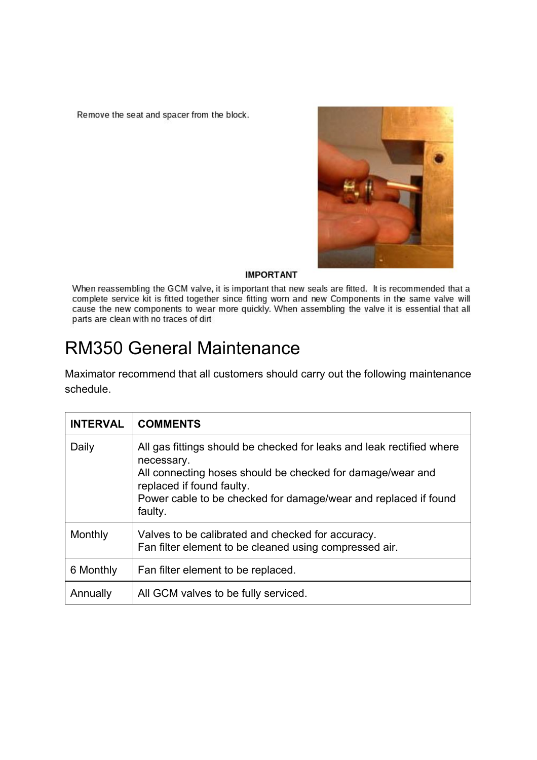<span id="page-9-0"></span>Remove the seat and spacer from the block.



#### **IMPORTANT**

When reassembling the GCM valve, it is important that new seals are fitted. It is recommended that a complete service kit is fitted together since fitting worn and new Components in the same valve will cause the new components to wear more quickly. When assembling the valve it is essential that all parts are clean with no traces of dirt

### RM350 General Maintenance

Maximator recommend that all customers should carry out the following maintenance schedule.

| <b>INTERVAL</b> | <b>COMMENTS</b>                                                                                                                                                                                                                                              |
|-----------------|--------------------------------------------------------------------------------------------------------------------------------------------------------------------------------------------------------------------------------------------------------------|
| Daily           | All gas fittings should be checked for leaks and leak rectified where<br>necessary.<br>All connecting hoses should be checked for damage/wear and<br>replaced if found faulty.<br>Power cable to be checked for damage/wear and replaced if found<br>faulty. |
| Monthly         | Valves to be calibrated and checked for accuracy.<br>Fan filter element to be cleaned using compressed air.                                                                                                                                                  |
| 6 Monthly       | Fan filter element to be replaced.                                                                                                                                                                                                                           |
| Annually        | All GCM valves to be fully serviced.                                                                                                                                                                                                                         |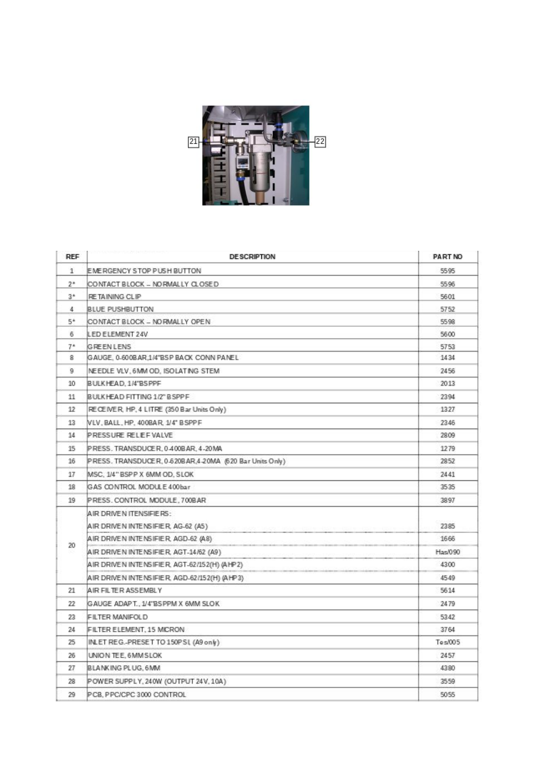

| REF   | <b>DESCRIPTION</b>                                       | <b>PART NO</b> |
|-------|----------------------------------------------------------|----------------|
| 1     | EMERGENCY STOP PUSH BUTTON                               | 5595           |
| $2^*$ | CONTACT BLOCK – NORMALLY CLOSED                          | 5596           |
| $3^*$ | RETAINING CLIP                                           | 5601           |
| 4     | <b>BLUE PUSHBUTTON</b>                                   | 5752           |
| 5*    | CONTACT BLOCK - NORMALLY OPEN                            | 5598           |
| 6     | LED ELEMENT 24V                                          | 5600           |
| $7^*$ | GREENLENS                                                | 5753           |
| 8     | GAUGE. 0-600BAR.1/4"BSP BAOK CONN PANEL                  | 1434           |
| 9     | NEEDLE VLV. 6MM OD. ISOLATING STEM                       | 2456           |
| 10    | BULK HEAD, 1/4"BS PPF                                    | 2013           |
| 11    | BULK HEAD FITTING 1/2" BSPPF                             | 2394           |
| 12    | RECEIVER, HP, 4 LITRE (350 Bar Units Only)               | 1327           |
| 13    | VLV. BALL. HP. 400BAR. 1/4" BSPPF                        | 2346           |
| 14    | PRESSURE RELIEFVALVE                                     | 2809           |
| 15    | PRESS. TRANSDUCER. 0.400BAR. 4-20MA                      | 1279           |
| 16    | PRESS. TRANSDUCER, 0-620BAR, 4-20MA (620 Bar Units Only) | 2852           |
| 17    | MSC: 1/4" BSPP X 6MM OD, SLOK                            | 2441           |
| 18    | GAS CONTROL MODULE 400bar                                | 3535           |
| 19    | PRESS. CONTROL MODULE, 700BAR                            | 3897           |
|       | A IR DRIVE NITENSIFIERS:                                 |                |
|       | AIR DRIVEN INTENSIFIER, AG-62 (A5)                       | 2385           |
|       | A IR DRIVEN INTENSIFIER, AGD-62 (A8)                     | 1666           |
| 20    | AIR DRIVEN INTENSIFIER, AGT-14/62 (A9)                   | Has090         |
|       | AIR DRIVEN INTENSIFIER, AGT-62/152(H) (AHP2)             | 4300           |
|       | AIR DRIVEN INTENSIFIER, AGD-62/152(H) (AHP3)             | 4549           |
| 21    | A IR FILTER ASSEMBLY                                     | 5614           |
| 22    | GAUGE ADAPT., 1/4"BSPPM X 6MM SLOK                       | 2479           |
| 23    | FILTER MANIFOLD                                          | 5342           |
| 24    | FILTER ELEMENT, 15 MICRON.                               | 3764           |
| 25    | INLET REG.-PRESET TO 150PSI, (A9 only)                   | Tes/005        |
| 26    | UNION TEE, 6MM SLOK                                      | 2457           |
| 27    | BLANKING PLUG. 6MM                                       | 4380           |
| 28    | POWER SUPPLY, 240W (OUTPUT 24V, 10A)                     | 3559           |
| 29    | PCB, PPC/CPC 3000 CONTROL                                | 5055           |
|       |                                                          |                |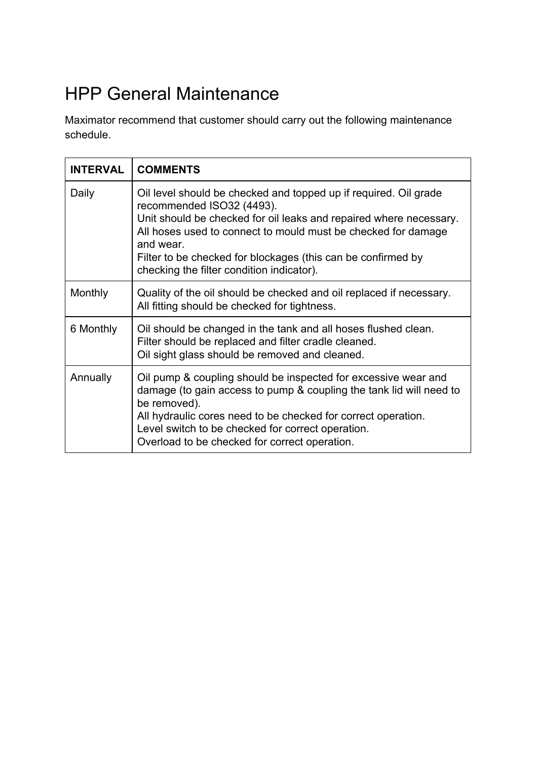# <span id="page-11-0"></span>HPP General Maintenance

Maximator recommend that customer should carry out the following maintenance schedule.

| <b>INTERVAL</b> | <b>COMMENTS</b>                                                                                                                                                                                                                                                                                                                                                |
|-----------------|----------------------------------------------------------------------------------------------------------------------------------------------------------------------------------------------------------------------------------------------------------------------------------------------------------------------------------------------------------------|
| Daily           | Oil level should be checked and topped up if required. Oil grade<br>recommended ISO32 (4493).<br>Unit should be checked for oil leaks and repaired where necessary.<br>All hoses used to connect to mould must be checked for damage<br>and wear.<br>Filter to be checked for blockages (this can be confirmed by<br>checking the filter condition indicator). |
| Monthly         | Quality of the oil should be checked and oil replaced if necessary.<br>All fitting should be checked for tightness.                                                                                                                                                                                                                                            |
| 6 Monthly       | Oil should be changed in the tank and all hoses flushed clean.<br>Filter should be replaced and filter cradle cleaned.<br>Oil sight glass should be removed and cleaned.                                                                                                                                                                                       |
| Annually        | Oil pump & coupling should be inspected for excessive wear and<br>damage (to gain access to pump & coupling the tank lid will need to<br>be removed).<br>All hydraulic cores need to be checked for correct operation.<br>Level switch to be checked for correct operation.<br>Overload to be checked for correct operation.                                   |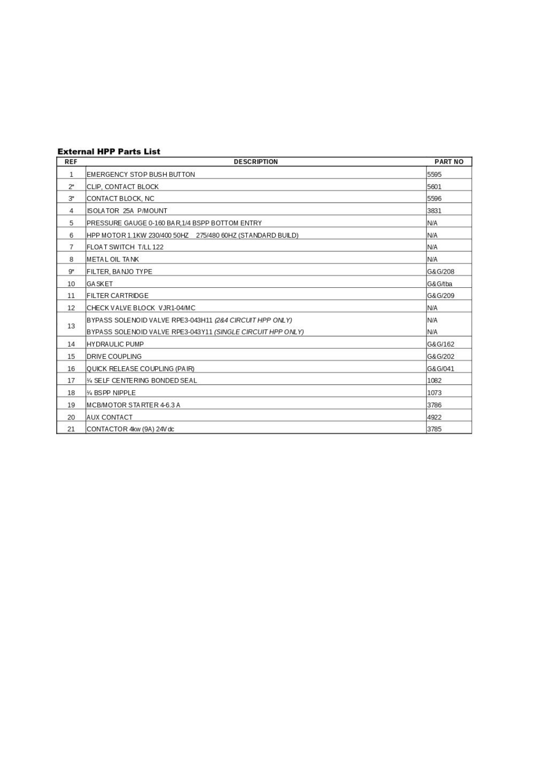#### **External HPP Parts List**

| <b>REF</b>   | <b>DESCRIPTION</b>                                          | <b>PART NO</b> |
|--------------|-------------------------------------------------------------|----------------|
| $\mathbf{1}$ | EMERGENCY STOP BUSH BUTTON                                  | 5595           |
| $2^{\star}$  | CLIP, CONTACT BLOCK                                         | 5601           |
| $3^{\star}$  | CONTACT BLOCK, NC                                           | 5596           |
| 4            | <b>ISOLATOR 25A P/MOUNT</b>                                 | 3831           |
| 5            | PRESSURE GAUGE 0-160 BAR, 1/4 BSPP BOTTOM ENTRY             | <b>N/A</b>     |
| 6            | HPP MOTOR 1.1KW 230/400 50HZ 275/480 60HZ (STANDARD BUILD)  | N/A            |
| 7            | FLOAT SWITCH T/LL 122                                       | <b>N/A</b>     |
| 8            | METAL OIL TANK                                              | N/A            |
| $9*$         | FILTER, BANJO TYPE                                          | G&G/208        |
| 10           | <b>GA SKET</b>                                              | G&G/tba        |
| 11           | <b>FILTER CARTRIDGE</b>                                     | G&G/209        |
| 12           | CHECK VALVE BLOCK VJR1-04/MC                                | N/A            |
|              | BYPASS SOLENOID VALVE RPE3-043H11 (2&4 CIRCUIT HPP ONLY)    | N/A            |
| 13           | BYPASS SOLENOID VALVE RPE3-043Y11 (SINGLE CIRCUIT HPP ONLY) | N/A            |
| 14           | <b>HYDRAULIC PUMP</b>                                       | G&G/162        |
| 15           | DRIVE COUPLING                                              | G&G/202        |
| 16           | <b>OUICK RELEASE COUPLING (PAIR)</b>                        | G&G/041        |
| 17           | 1/4 SELF CENTERING BONDED SEAL                              | 1082           |
| 18           | 1/4 BSPP NIPPLE                                             | 1073           |
| 19           | MCB/MOTOR STARTER 4-6.3 A                                   | 3786           |
| 20           | <b>AUX CONTACT</b>                                          | 4922           |
| 21           | CONTACTOR 4kw (9A) 24V dc                                   | 3785           |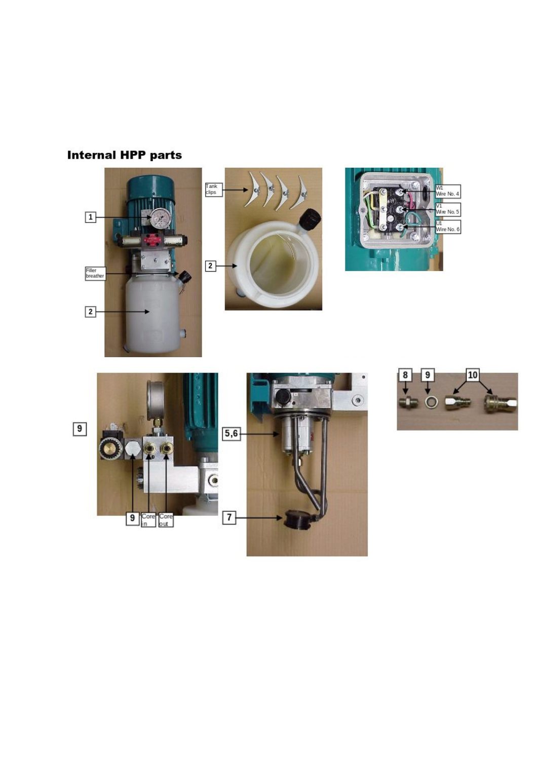### **Internal HPP parts**







 $\bullet$ 

 $\begin{array}{c} \bullet \end{array}$ 

w.